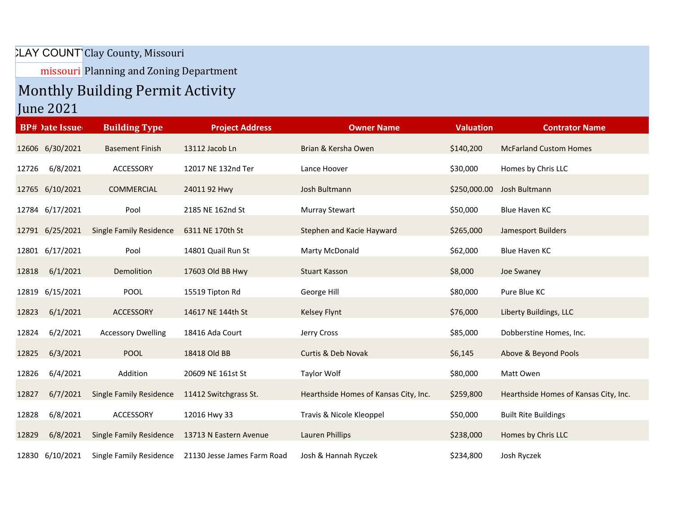## LAY COUNT Clay County, Missouri

missouri Planning and Zoning Department

## Monthly Building Permit Activity

June 2021

|       | <b>BP#</b> )ate Issue | <b>Building Type</b>           | <b>Project Address</b>      | <b>Owner Name</b>                     | <b>Valuation</b> | <b>Contrator Name</b>                 |
|-------|-----------------------|--------------------------------|-----------------------------|---------------------------------------|------------------|---------------------------------------|
|       | 12606 6/30/2021       | <b>Basement Finish</b>         | 13112 Jacob Ln              | Brian & Kersha Owen                   | \$140,200        | <b>McFarland Custom Homes</b>         |
| 12726 | 6/8/2021              | ACCESSORY                      | 12017 NE 132nd Ter          | Lance Hoover                          | \$30,000         | Homes by Chris LLC                    |
|       | 12765 6/10/2021       | COMMERCIAL                     | 2401192 Hwy                 | Josh Bultmann                         | \$250,000.00     | Josh Bultmann                         |
|       | 12784 6/17/2021       | Pool                           | 2185 NE 162nd St            | Murray Stewart                        | \$50,000         | Blue Haven KC                         |
|       | 12791 6/25/2021       | <b>Single Family Residence</b> | 6311 NE 170th St            | Stephen and Kacie Hayward             | \$265,000        | Jamesport Builders                    |
|       | 12801 6/17/2021       | Pool                           | 14801 Quail Run St          | Marty McDonald                        | \$62,000         | Blue Haven KC                         |
| 12818 | 6/1/2021              | Demolition                     | 17603 Old BB Hwy            | <b>Stuart Kasson</b>                  | \$8,000          | Joe Swaney                            |
|       | 12819 6/15/2021       | <b>POOL</b>                    | 15519 Tipton Rd             | George Hill                           | \$80,000         | Pure Blue KC                          |
| 12823 | 6/1/2021              | ACCESSORY                      | 14617 NE 144th St           | Kelsey Flynt                          | \$76,000         | Liberty Buildings, LLC                |
| 12824 | 6/2/2021              | <b>Accessory Dwelling</b>      | 18416 Ada Court             | Jerry Cross                           | \$85,000         | Dobberstine Homes, Inc.               |
| 12825 | 6/3/2021              | <b>POOL</b>                    | 18418 Old BB                | Curtis & Deb Novak                    | \$6,145          | Above & Beyond Pools                  |
| 12826 | 6/4/2021              | Addition                       | 20609 NE 161st St           | Taylor Wolf                           | \$80,000         | Matt Owen                             |
| 12827 | 6/7/2021              | <b>Single Family Residence</b> | 11412 Switchgrass St.       | Hearthside Homes of Kansas City, Inc. | \$259,800        | Hearthside Homes of Kansas City, Inc. |
| 12828 | 6/8/2021              | ACCESSORY                      | 12016 Hwy 33                | Travis & Nicole Kleoppel              | \$50,000         | <b>Built Rite Buildings</b>           |
| 12829 | 6/8/2021              | <b>Single Family Residence</b> | 13713 N Eastern Avenue      | Lauren Phillips                       | \$238,000        | Homes by Chris LLC                    |
|       | 12830 6/10/2021       | Single Family Residence        | 21130 Jesse James Farm Road | Josh & Hannah Ryczek                  | \$234,800        | Josh Ryczek                           |